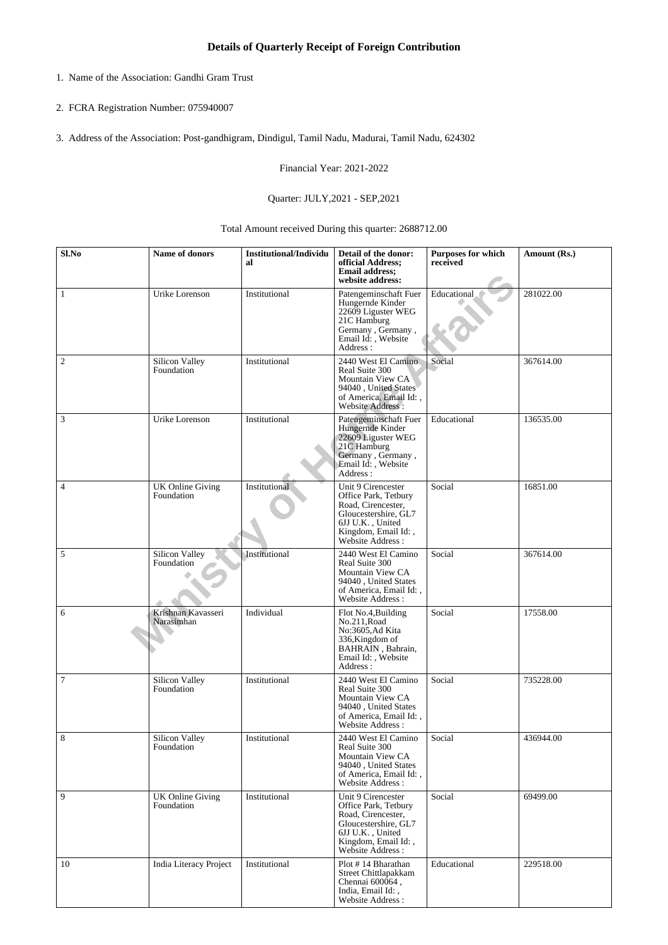- 1. Name of the Association: Gandhi Gram Trust
- 2. FCRA Registration Number: 075940007
- 3. Address of the Association: Post-gandhigram, Dindigul, Tamil Nadu, Madurai, Tamil Nadu, 624302

Financial Year: 2021-2022

## Quarter: JULY,2021 - SEP,2021

Total Amount received During this quarter: 2688712.00

| Sl.No          | Name of donors                        | <b>Institutional/Individu</b><br>al | Detail of the donor:<br>official Address;<br><b>Email address:</b><br>website address:                                                                  | <b>Purposes for which</b><br>received | Amount (Rs.) |
|----------------|---------------------------------------|-------------------------------------|---------------------------------------------------------------------------------------------------------------------------------------------------------|---------------------------------------|--------------|
| 1              | Urike Lorenson                        | Institutional                       | Patengeminschaft Fuer<br>Hungernde Kinder<br>22609 Liguster WEG<br>21C Hamburg<br>Germany, Germany,<br>Email Id:, Website<br>Address:                   | Educational                           | 281022.00    |
| $\mathfrak{2}$ | Silicon Valley<br>Foundation          | Institutional                       | 2440 West El Camino<br>Real Suite 300<br>Mountain View CA<br>94040, United States<br>of America, Email Id:,<br>Website Address:                         | Social                                | 367614.00    |
| 3              | Urike Lorenson                        | Institutional                       | Patengeminschaft Fuer<br>Hungernde Kinder<br>22609 Liguster WEG<br>21C Hamburg<br>Germany, Germany,<br>Email Id: , Website<br>Address:                  | Educational                           | 136535.00    |
| $\overline{4}$ | <b>UK Online Giving</b><br>Foundation | Institutional                       | Unit 9 Cirencester<br>Office Park, Tetbury<br>Road, Cirencester,<br>Gloucestershire, GL7<br>6JJ U.K., United<br>Kingdom, Email Id:,<br>Website Address: | Social                                | 16851.00     |
| 5              | Silicon Valley<br>Foundation          | Institutional                       | 2440 West El Camino<br>Real Suite 300<br>Mountain View CA<br>94040, United States<br>of America, Email Id:,<br>Website Address:                         | Social                                | 367614.00    |
| 6              | Krishnan Kavasseri<br>Narasimhan      | Individual                          | Flot No.4, Building<br>No.211, Road<br>No:3605, Ad Kita<br>336, Kingdom of<br>BAHRAIN, Bahrain,<br>Email Id:, Website<br>Address:                       | Social                                | 17558.00     |
| $\tau$         | Silicon Valley<br>Foundation          | Institutional                       | 2440 West El Camino<br>Real Suite 300<br>Mountain View CA<br>94040, United States<br>of America. Email Id: .<br>Website Address:                        | Social                                | 735228.00    |
| 8              | Silicon Valley<br>Foundation          | Institutional                       | 2440 West El Camino<br>Real Suite 300<br>Mountain View CA<br>94040, United States<br>of America, Email Id:,<br><b>Website Address:</b>                  | Social                                | 436944.00    |
| 9              | <b>UK Online Giving</b><br>Foundation | Institutional                       | Unit 9 Cirencester<br>Office Park, Tetbury<br>Road, Cirencester,<br>Gloucestershire, GL7<br>6JJ U.K., United<br>Kingdom, Email Id:,<br>Website Address: | Social                                | 69499.00     |
| 10             | India Literacy Project                | Institutional                       | Plot #14 Bharathan<br>Street Chittlapakkam<br>Chennai 600064,<br>India, Email Id:,<br>Website Address:                                                  | Educational                           | 229518.00    |